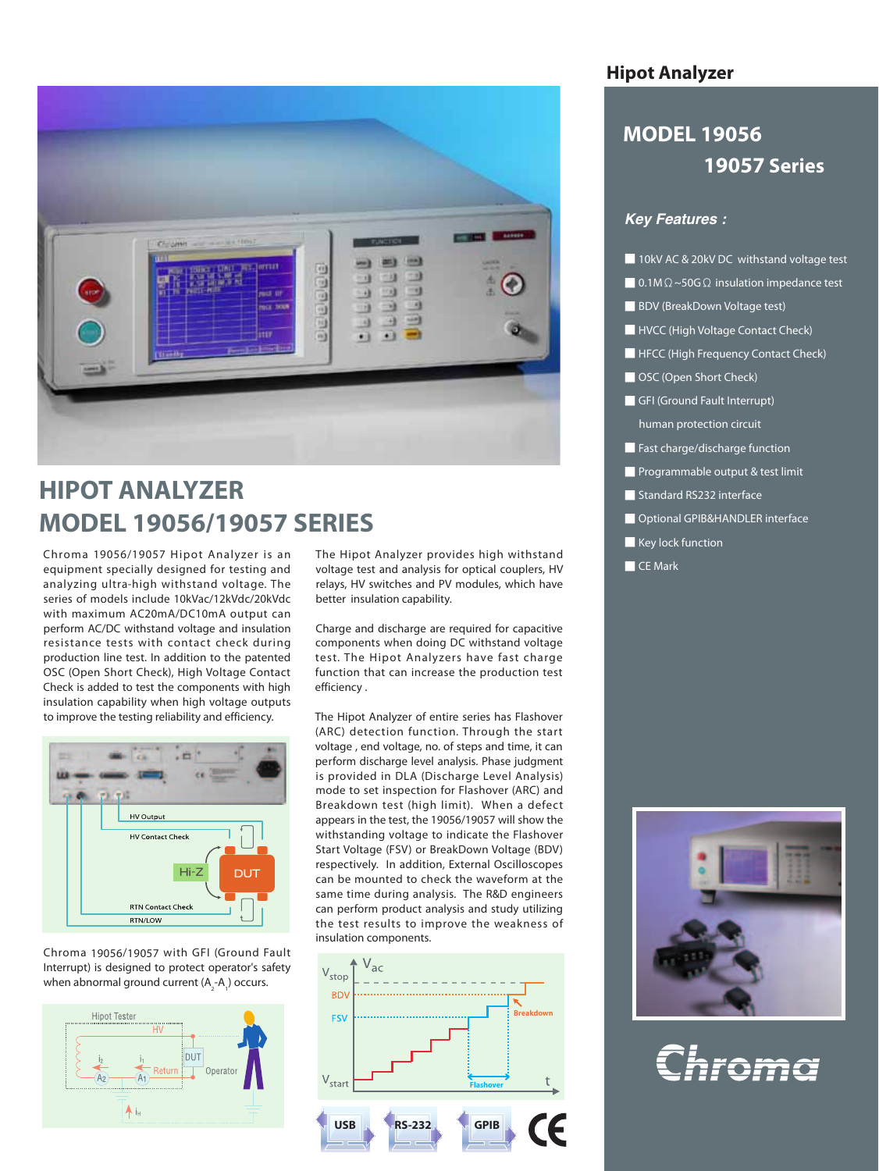

# **HIPOT ANALYZER MODEL 19056/19057 SERIES**

Chroma 19056/19057 Hipot Analyzer is an equipment specially designed for testing and analyzing ultra-high withstand voltage. The series of models include 10kVac/12kVdc/20kVdc with maximum AC20mA/DC10mA output can perform AC/DC withstand voltage and insulation resistance tests with contact check during production line test. In addition to the patented OSC (Open Short Check), High Voltage Contact Check is added to test the components with high insulation capability when high voltage outputs to improve the testing reliability and efficiency.



Chroma 19056/19057 with GFI (Ground Fault Interrupt) is designed to protect operator's safety when abnormal ground current (A<sub>2</sub>-A<sub>1</sub>) occurs.



The Hipot Analyzer provides high withstand voltage test and analysis for optical couplers, HV relays, HV switches and PV modules, which have better insulation capability.

Charge and discharge are required for capacitive components when doing DC withstand voltage test. The Hipot Analyzers have fast charge function that can increase the production test efficiency .

The Hipot Analyzer of entire series has Flashover (ARC) detection function. Through the start voltage , end voltage, no. of steps and time, it can perform discharge level analysis. Phase judgment is provided in DLA (Discharge Level Analysis) mode to set inspection for Flashover (ARC) and Breakdown test (high limit). When a defect appears in the test, the 19056/19057 will show the withstanding voltage to indicate the Flashover Start Voltage (FSV) or BreakDown Voltage (BDV) respectively. In addition, External Oscilloscopes can be mounted to check the waveform at the same time during analysis. The R&D engineers can perform product analysis and study utilizing the test results to improve the weakness of insulation components.



### **Hipot Analyzer**

## **MODEL 19056 19057 Series**

#### *Key Features :*

- 10kV AC & 20kV DC withstand voltage test
- 0.1M $Ω \sim$ 50G $Ω$  insulation impedance test
- BDV (BreakDown Voltage test)
- HVCC (High Voltage Contact Check)
- HFCC (High Frequency Contact Check)
- OSC (Open Short Check)
- GFI (Ground Fault Interrupt) human protection circuit
- Fast charge/discharge function
- Programmable output & test limit
- Standard RS232 interface
- Optional GPIB&HANDLER interface
- Key lock function
- CE Mark